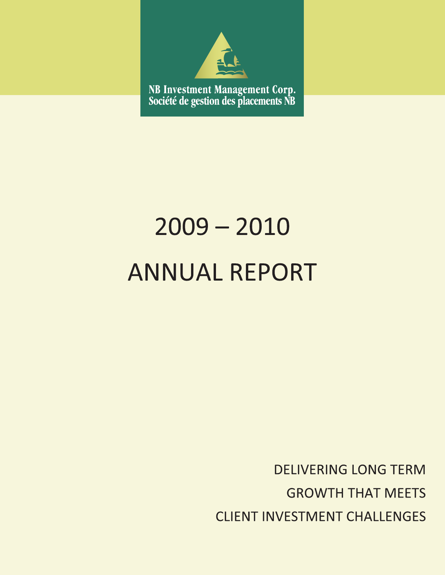

# $2009 - 2010$ **ANNUAL REPORT**

**DELIVERING LONG TERM GROWTH THAT MEETS CLIENT INVESTMENT CHALLENGES**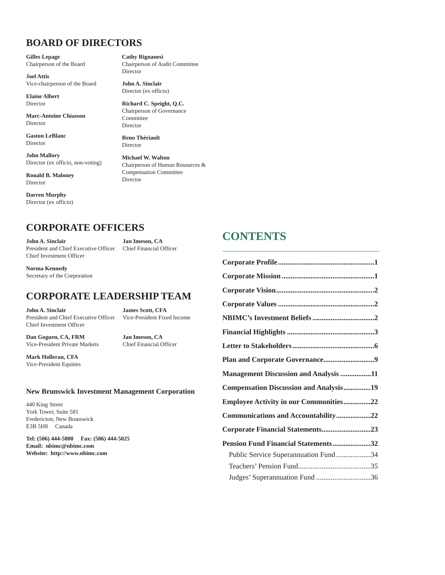## **BOARD OF DIRECTORS**

**Gilles Lepage** Chairperson of the Board

**Joel Attis** Vice-chairperson of the Board

**Elaine Albert** Director

**Marc-Antoine Chiasson** Director

**Gaston LeBlanc** Director

**John Mallory** Director (ex officio, non-voting)

**Ronald B. Maloney** Director

**Darren Murphy** Director (ex officio) **Cathy Rignanesi** Chairperson of Audit Committee Director

**John A. Sinclair** Director (ex officio)

**Richard C. Speight, Q.C.** Chairperson of Governance Committee Director

**Reno Thériault** Director

**Michael W. Walton** Chairperson of Human Resources & Compensation Committee Director

## **CORPORATE OFFICERS**

**John A. Sinclair Jan Imeson, CA** President and Chief Executive Officer Chief Financial Officer Chief Investment Officer

**Norma Kennedy** Secretary of the Corporation

## **CORPORATE LEADERSHIP TEAM**

**John A. Sinclair James Scott, CFA** President and Chief Executive Officer Vice-President Fixed Income Chief Investment Officer

**Dan Goguen, CA, FRM Jan Imeson, CA** Vice-President Private Markets Chief Financial Officer

**Mark Holleran, CFA** Vice-President Equities

#### **New Brunswick Investment Management Corporation**

440 King Street York Tower, Suite 581 Fredericton, New Brunswick E3B 5H8 Canada

**Tel: (506) 444-5800 Fax: (506) 444-5025 Email: nbimc@nbimc.com Website: http://www.nbimc.com**

# **CONTENTS**

| <b>Management Discussion and Analysis 11</b>  |  |
|-----------------------------------------------|--|
| <b>Compensation Discussion and Analysis19</b> |  |
| Employee Activity in our Communities22        |  |
| Communications and Accountability22           |  |
| Corporate Financial Statements23              |  |
| Pension Fund Financial Statements32           |  |
| Public Service Superannuation Fund 34         |  |
|                                               |  |
| Judges' Superannuation Fund 36                |  |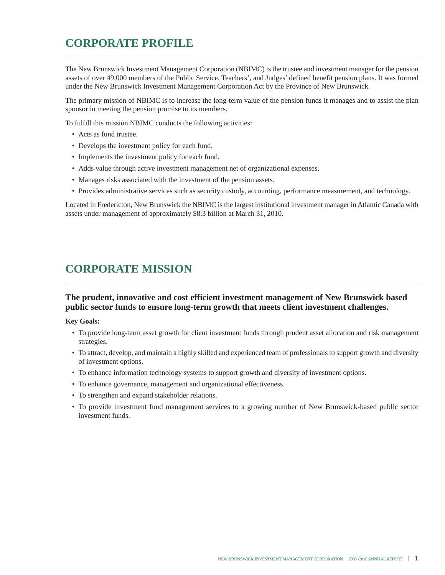# **CORPORATE PROFILE**

The New Brunswick Investment Management Corporation (NBIMC) is the trustee and investment manager for the pension assets of over 49,000 members of the Public Service, Teachers', and Judges' defined benefit pension plans. It was formed under the New Brunswick Investment Management Corporation Act by the Province of New Brunswick.

The primary mission of NBIMC is to increase the long-term value of the pension funds it manages and to assist the plan sponsor in meeting the pension promise to its members.

To fulfill this mission NBIMC conducts the following activities:

- Acts as fund trustee.
- Develops the investment policy for each fund.
- Implements the investment policy for each fund.
- Adds value through active investment management net of organizational expenses.
- Manages risks associated with the investment of the pension assets.
- Provides administrative services such as security custody, accounting, performance measurement, and technology.

Located in Fredericton, New Brunswick the NBIMC is the largest institutional investment manager in Atlantic Canada with assets under management of approximately \$8.3 billion at March 31, 2010.

## **CORPORATE MISSION**

#### **The prudent, innovative and cost efficient investment management of New Brunswick based public sector funds to ensure long-term growth that meets client investment challenges.**

#### **Key Goals:**

- To provide long-term asset growth for client investment funds through prudent asset allocation and risk management strategies.
- To attract, develop, and maintain a highly skilled and experienced team of professionals to support growth and diversity of investment options.
- To enhance information technology systems to support growth and diversity of investment options.
- To enhance governance, management and organizational effectiveness.
- To strengthen and expand stakeholder relations.
- To provide investment fund management services to a growing number of New Brunswick-based public sector investment funds.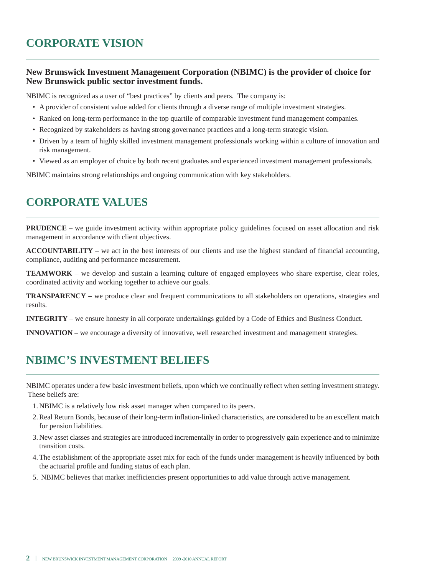#### **New Brunswick Investment Management Corporation (NBIMC) is the provider of choice for New Brunswick public sector investment funds.**

NBIMC is recognized as a user of "best practices" by clients and peers. The company is:

- A provider of consistent value added for clients through a diverse range of multiple investment strategies.
- Ranked on long-term performance in the top quartile of comparable investment fund management companies.
- Recognized by stakeholders as having strong governance practices and a long-term strategic vision.
- Driven by a team of highly skilled investment management professionals working within a culture of innovation and risk management.
- Viewed as an employer of choice by both recent graduates and experienced investment management professionals.

NBIMC maintains strong relationships and ongoing communication with key stakeholders.

# **CORPORATE VALUES**

**PRUDENCE** – we guide investment activity within appropriate policy guidelines focused on asset allocation and risk management in accordance with client objectives.

**ACCOUNTABILITY** – we act in the best interests of our clients and use the highest standard of financial accounting, compliance, auditing and performance measurement.

**TEAMWORK** – we develop and sustain a learning culture of engaged employees who share expertise, clear roles, coordinated activity and working together to achieve our goals.

**TRANSPARENCY** – we produce clear and frequent communications to all stakeholders on operations, strategies and results.

**INTEGRITY** – we ensure honesty in all corporate undertakings guided by a Code of Ethics and Business Conduct.

**INNOVATION** – we encourage a diversity of innovative, well researched investment and management strategies.

# **NBIMC'S INVESTMENT BELIEFS**

NBIMC operates under a few basic investment beliefs, upon which we continually reflect when setting investment strategy. These beliefs are:

- 1. NBIMC is a relatively low risk asset manager when compared to its peers.
- 2. Real Return Bonds, because of their long-term inflation-linked characteristics, are considered to be an excellent match for pension liabilities.
- 3. New asset classes and strategies are introduced incrementally in order to progressively gain experience and to minimize transition costs.
- 4. The establishment of the appropriate asset mix for each of the funds under management is heavily influenced by both the actuarial profile and funding status of each plan.
- 5. NBIMC believes that market inefficiencies present opportunities to add value through active management.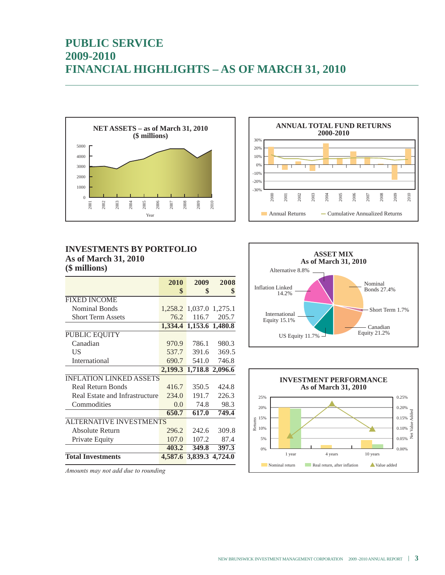# **PUBLIC SERVICE 2009-2010 FINANCIAL HIGHLIGHTS – AS OF MARCH 31, 2010**





|                                | 2010            | 2009                    | 2008            |
|--------------------------------|-----------------|-------------------------|-----------------|
|                                | \$              | \$                      | \$              |
| <b>FIXED INCOME</b>            |                 |                         |                 |
| <b>Nominal Bonds</b>           |                 | 1,258.2 1,037.0 1,275.1 |                 |
| <b>Short Term Assets</b>       | 76.2            |                         | 116.7 205.7     |
|                                |                 | 1,334.4 1,153.6 1,480.8 |                 |
| PUBLIC EQUITY                  |                 |                         |                 |
| Canadian                       | 970.9           | 786.1                   | 980.3           |
| US                             | 537.7           | 391.6                   | 369.5           |
| International                  | 690.7           | 541.0                   | 746.8           |
|                                | 2,199.3         |                         | 1,718.8 2,096.6 |
| <b>INFLATION LINKED ASSETS</b> |                 |                         |                 |
| <b>Real Return Bonds</b>       | 416.7           | 350.5                   | 424.8           |
| Real Estate and Infrastructure | 234.0           | 191.7                   | 226.3           |
| Commodities                    | 0.0             | 74.8                    | 98.3            |
|                                | 650.7           | 617.0                   | 749.4           |
| <b>ALTERNATIVE INVESTMENTS</b> |                 |                         |                 |
| Absolute Return                | 296.2           | 242.6                   | 309.8           |
| Private Equity                 | 107.0           | 107.2                   | 87.4            |
|                                | 403.2           | 349.8                   | 397.3           |
| <b>Total Investments</b>       | 4,587.6 3,839.3 |                         | 4.724.0         |







*Amounts may not add due to rounding*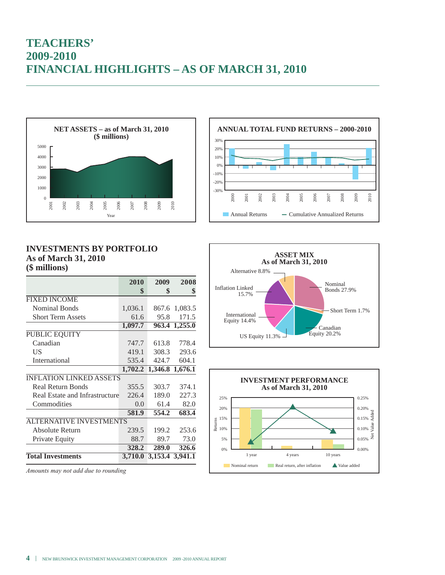# **TEACHERS' 2009-2010 FINANCIAL HIGHLIGHTS – AS OF MARCH 31, 2010**





|                                | 2010          | 2009                    | 2008          |
|--------------------------------|---------------|-------------------------|---------------|
|                                | \$            | \$                      | \$            |
| <b>FIXED INCOME</b>            |               |                         |               |
| <b>Nominal Bonds</b>           | 1,036.1       |                         | 867.6 1,083.5 |
| <b>Short Term Assets</b>       | 61.6          | 95.8                    | 171.5         |
|                                | 1,097.7       | 963.4                   | 1,255.0       |
| PUBLIC EQUITY                  |               |                         |               |
| Canadian                       | 747.7         | 613.8                   | 778.4         |
| US                             | 419.1         | 308.3                   | 293.6         |
| International                  | 535.4         | 424.7                   | 604.1         |
|                                | 1,702.2       | 1,346.8                 | 1,676.1       |
| <b>INFLATION LINKED ASSETS</b> |               |                         |               |
| <b>Real Return Bonds</b>       | 355.5         | 303.7                   | 374.1         |
| Real Estate and Infrastructure | 226.4         | 189.0                   | 227.3         |
| Commodities                    | $0.0^{\circ}$ | 61.4                    | 82.0          |
|                                | 581.9         | 554.2                   | 683.4         |
| <b>ALTERNATIVE INVESTMENTS</b> |               |                         |               |
| Absolute Return                | 239.5         | 199.2                   | 253.6         |
| Private Equity                 | 88.7          | 89.7                    | 73.0          |
|                                | 328.2         | 289.0                   | 326.6         |
| <b>Total Investments</b>       |               | 3,710.0 3,153.4 3,941.1 |               |

*Amounts may not add due to rounding*





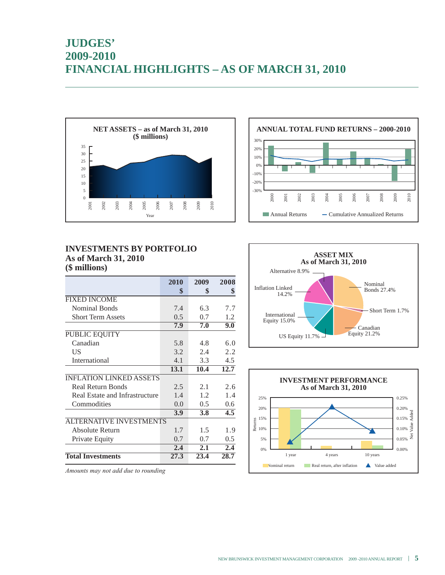# **JUDGES' 2009-2010 FINANCIAL HIGHLIGHTS – AS OF MARCH 31, 2010**





#### **INVESTMENTS BY PORTFOLIO As of March 31, 2010 (\$ millions)**

|                                | 2010 | 2009       | 2008 |
|--------------------------------|------|------------|------|
|                                | \$   | \$         | \$   |
| <b>FIXED INCOME</b>            |      |            |      |
| <b>Nominal Bonds</b>           | 7.4  | 6.3        | 7.7  |
| <b>Short Term Assets</b>       | 0.5  | 0.7        | 1.2  |
|                                | 7.9  | 7.0        | 9.0  |
| PUBLIC EQUITY                  |      |            |      |
| Canadian                       | 5.8  | 4.8        | 6.0  |
| US                             | 3.2  | 2.4        | 2.2  |
| International                  | 4.1  | 3.3        | 4.5  |
|                                | 13.1 | 10.4       | 12.7 |
| <b>INFLATION LINKED ASSETS</b> |      |            |      |
| <b>Real Return Bonds</b>       | 2.5  | 2.1        | 2.6  |
| Real Estate and Infrastructure | 1.4  | 1.2        | 1.4  |
| Commodities                    | 0.0  | 0.5        | 0.6  |
|                                | 3.9  | <b>3.8</b> | 4.5  |
| <b>ALTERNATIVE INVESTMENTS</b> |      |            |      |
| Absolute Return                | 1.7  | 1.5        | 1.9  |
| Private Equity                 | 0.7  | 0.7        | 0.5  |
|                                | 2.4  | 2.1        | 2.4  |
| <b>Total Investments</b>       | 27.3 | 23.4       | 28.7 |





*Amounts may not add due to rounding*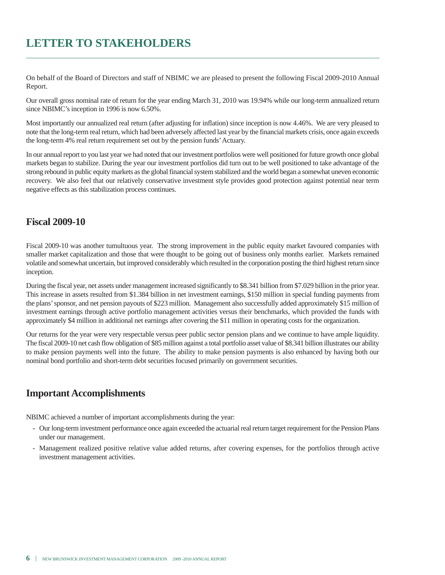# **LETTER TO STAKEHOLDERS**

On behalf of the Board of Directors and staff of NBIMC we are pleased to present the following Fiscal 2009-2010 Annual Report.

Our overall gross nominal rate of return for the year ending March 31, 2010 was 19.94% while our long-term annualized return since NBIMC's inception in 1996 is now 6.50%.

Most importantly our annualized real return (after adjusting for inflation) since inception is now 4.46%. We are very pleased to note that the long-term real return, which had been adversely affected last year by the financial markets crisis, once again exceeds the long-term 4% real return requirement set out by the pension funds'Actuary.

In our annual report to you last year we had noted that our investment portfolios were well positioned for future growth once global markets began to stabilize. During the year our investment portfolios did turn out to be well positioned to take advantage of the strong rebound in public equity markets as the global financial system stabilized and the world began a somewhat uneven economic recovery. We also feel that our relatively conservative investment style provides good protection against potential near term negative effects as this stabilization process continues.

#### **Fiscal 2009-10**

Fiscal 2009-10 was another tumultuous year. The strong improvement in the public equity market favoured companies with smaller market capitalization and those that were thought to be going out of business only months earlier. Markets remained volatile and somewhat uncertain, but improved considerably which resulted in the corporation posting the third highest return since inception.

During the fiscal year, net assets under management increased significantly to \$8.341 billion from \$7.029 billion in the prior year. This increase in assets resulted from \$1.384 billion in net investment earnings, \$150 million in special funding payments from the plans'sponsor, and net pension payouts of \$223 million. Management also successfully added approximately \$15 million of investment earnings through active portfolio management activities versus their benchmarks, which provided the funds with approximately \$4 million in additional net earnings after covering the \$11 million in operating costs for the organization.

Our returns for the year were very respectable versus peer public sector pension plans and we continue to have ample liquidity. The fiscal 2009-10 net cash flow obligation of \$85 million against a total portfolio asset value of \$8.341 billion illustrates our ability to make pension payments well into the future. The ability to make pension payments is also enhanced by having both our nominal bond portfolio and short-term debt securities focused primarily on government securities.

### **Important Accomplishments**

NBIMC achieved a number of important accomplishments during the year:

- Our long-term investment performance once again exceeded the actuarial real return target requirement for the Pension Plans under our management.
- Management realized positive relative value added returns, after covering expenses, for the portfolios through active investment management activities.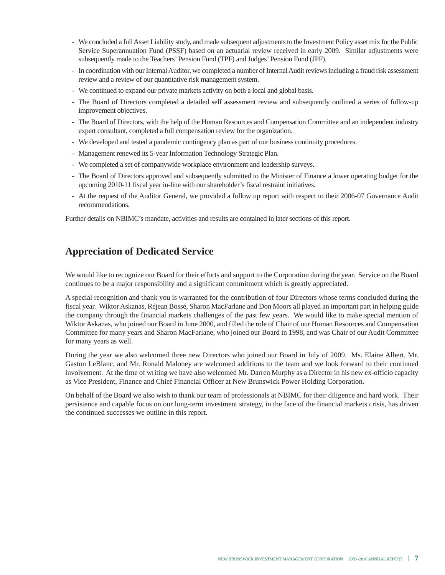- We concluded a fullAsset Liability study, and made subsequent adjustments to the Investment Policy asset mix for the Public Service Superannuation Fund (PSSF) based on an actuarial review received in early 2009. Similar adjustments were subsequently made to the Teachers' Pension Fund (TPF) and Judges' Pension Fund (JPF).
- In coordination with our Internal Auditor, we completed a number of Internal Audit reviews including a fraud risk assessment review and a review of our quantitative risk management system.
- We continued to expand our private markets activity on both a local and global basis.
- The Board of Directors completed a detailed self assessment review and subsequently outlined a series of follow-up improvement objectives.
- The Board of Directors, with the help of the Human Resources and Compensation Committee and an independent industry expert consultant, completed a full compensation review for the organization.
- We developed and tested a pandemic contingency plan as part of our business continuity procedures.
- Management renewed its 5-year Information Technology Strategic Plan.
- We completed a set of companywide workplace environment and leadership surveys.
- The Board of Directors approved and subsequently submitted to the Minister of Finance a lower operating budget for the upcoming 2010-11 fiscal year in-line with our shareholder's fiscal restraint initiatives.
- At the request of the Auditor General, we provided a follow up report with respect to their 2006-07 Governance Audit recommendations.

Further details on NBIMC's mandate, activities and results are contained in later sections of this report.

## **Appreciation of Dedicated Service**

We would like to recognize our Board for their efforts and support to the Corporation during the year. Service on the Board continues to be a major responsibility and a significant commitment which is greatly appreciated.

A special recognition and thank you is warranted for the contribution of four Directors whose terms concluded during the fiscal year. Wiktor Askanas, Réjean Bossé, Sharon MacFarlane and Don Moors all played an important part in helping guide the company through the financial markets challenges of the past few years. We would like to make special mention of Wiktor Askanas, who joined our Board in June 2000, and filled the role of Chair of our Human Resources and Compensation Committee for many years and Sharon MacFarlane, who joined our Board in 1998, and was Chair of our Audit Committee for many years as well.

During the year we also welcomed three new Directors who joined our Board in July of 2009. Ms. Elaine Albert, Mr. Gaston LeBlanc, and Mr. Ronald Maloney are welcomed additions to the team and we look forward to their continued involvement. At the time of writing we have also welcomed Mr. Darren Murphy as a Director in his new ex-officio capacity as Vice President, Finance and Chief Financial Officer at New Brunswick Power Holding Corporation.

On behalf of the Board we also wish to thank our team of professionals at NBIMC for their diligence and hard work. Their persistence and capable focus on our long-term investment strategy, in the face of the financial markets crisis, has driven the continued successes we outline in this report.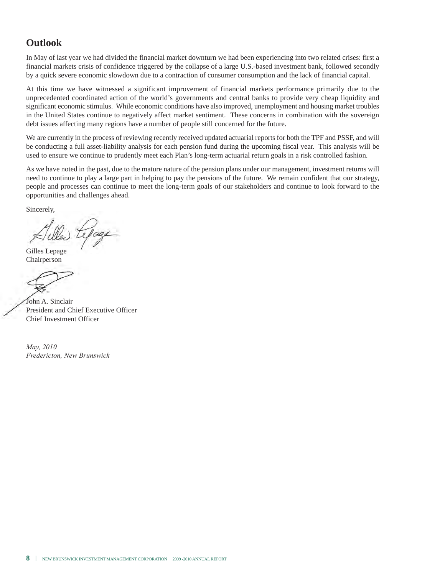## **Outlook**

In May of last year we had divided the financial market downturn we had been experiencing into two related crises: first a financial markets crisis of confidence triggered by the collapse of a large U.S.-based investment bank, followed secondly by a quick severe economic slowdown due to a contraction of consumer consumption and the lack of financial capital.

At this time we have witnessed a significant improvement of financial markets performance primarily due to the unprecedented coordinated action of the world's governments and central banks to provide very cheap liquidity and significant economic stimulus. While economic conditions have also improved, unemployment and housing market troubles in the United States continue to negatively affect market sentiment. These concerns in combination with the sovereign debt issues affecting many regions have a number of people still concerned for the future.

We are currently in the process of reviewing recently received updated actuarial reports for both the TPF and PSSF, and will be conducting a full asset-liability analysis for each pension fund during the upcoming fiscal year. This analysis will be used to ensure we continue to prudently meet each Plan's long-term actuarial return goals in a risk controlled fashion.

As we have noted in the past, due to the mature nature of the pension plans under our management, investment returns will need to continue to play a large part in helping to pay the pensions of the future. We remain confident that our strategy, people and processes can continue to meet the long-term goals of our stakeholders and continue to look forward to the opportunities and challenges ahead.

Sincerely,

Gilles Lepage Chairperson

John A. Sinclair President and Chief Executive Officer Chief Investment Officer

*May, 2010 Fredericton, New Brunswick*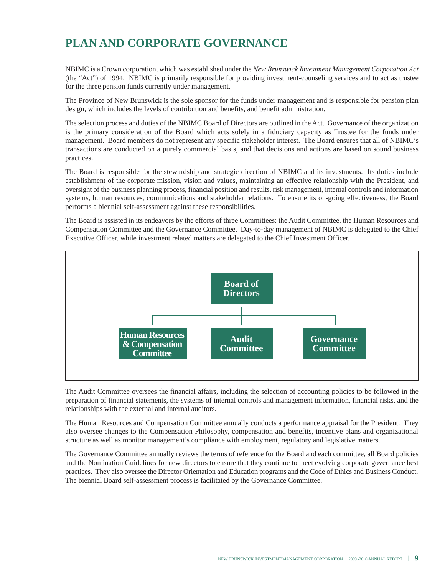# **PLAN AND CORPORATE GOVERNANCE**

NBIMC is a Crown corporation, which was established under the *New Brunswick Investment Management Corporation Act* (the "Act") of 1994. NBIMC is primarily responsible for providing investment-counseling services and to act as trustee for the three pension funds currently under management.

The Province of New Brunswick is the sole sponsor for the funds under management and is responsible for pension plan design, which includes the levels of contribution and benefits, and benefit administration.

The selection process and duties of the NBIMC Board of Directors are outlined in the Act. Governance of the organization is the primary consideration of the Board which acts solely in a fiduciary capacity as Trustee for the funds under management. Board members do not represent any specific stakeholder interest. The Board ensures that all of NBIMC's transactions are conducted on a purely commercial basis, and that decisions and actions are based on sound business practices.

The Board is responsible for the stewardship and strategic direction of NBIMC and its investments. Its duties include establishment of the corporate mission, vision and values, maintaining an effective relationship with the President, and oversight of the business planning process, financial position and results, risk management, internal controls and information systems, human resources, communications and stakeholder relations. To ensure its on-going effectiveness, the Board performs a biennial self-assessment against these responsibilities.

The Board is assisted in its endeavors by the efforts of three Committees: the Audit Committee, the Human Resources and Compensation Committee and the Governance Committee. Day-to-day management of NBIMC is delegated to the Chief Executive Officer, while investment related matters are delegated to the Chief Investment Officer.



The Audit Committee oversees the financial affairs, including the selection of accounting policies to be followed in the preparation of financial statements, the systems of internal controls and management information, financial risks, and the relationships with the external and internal auditors.

The Human Resources and Compensation Committee annually conducts a performance appraisal for the President. They also oversee changes to the Compensation Philosophy, compensation and benefits, incentive plans and organizational structure as well as monitor management's compliance with employment, regulatory and legislative matters.

The Governance Committee annually reviews the terms of reference for the Board and each committee, all Board policies and the Nomination Guidelines for new directors to ensure that they continue to meet evolving corporate governance best practices. They also oversee the Director Orientation and Education programs and the Code of Ethics and Business Conduct. The biennial Board self-assessment process is facilitated by the Governance Committee.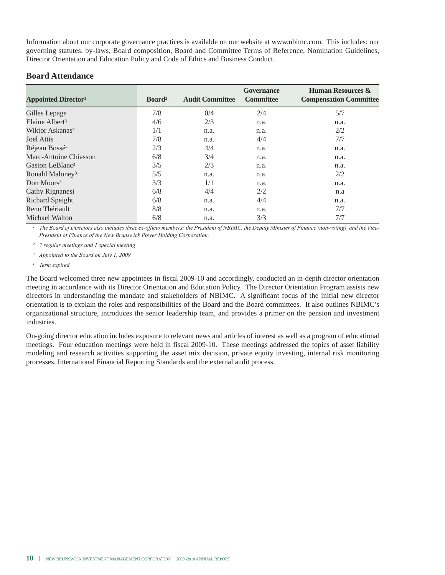Information about our corporate governance practices is available on our website at www.nbimc.com. This includes: our governing statutes, by-laws, Board composition, Board and Committee Terms of Reference, Nomination Guidelines, Director Orientation and Education Policy and Code of Ethics and Business Conduct.

#### **Board Attendance**

| <b>Appointed Director</b> <sup>1</sup> | Board <sup>2</sup> | <b>Audit Committee</b> | <b>Governance</b><br><b>Committee</b> | <b>Human Resources &amp;</b><br><b>Compensation Committee</b> |
|----------------------------------------|--------------------|------------------------|---------------------------------------|---------------------------------------------------------------|
| Gilles Lepage                          | 7/8                | 0/4                    | 2/4                                   | 5/7                                                           |
| Elaine Albert <sup>3</sup>             | 4/6                | 2/3                    | n.a.                                  | n.a.                                                          |
| Wiktor Askanas <sup>4</sup>            | 1/1                | n.a.                   | n.a.                                  | 2/2                                                           |
| Joel Attis                             | 7/8                | n.a.                   | 4/4                                   | 7/7                                                           |
| Réjean Bossé <sup>4</sup>              | 2/3                | 4/4                    | n.a.                                  | n.a.                                                          |
| Marc-Antoine Chiasson                  | 6/8                | 3/4                    | n.a.                                  | n.a.                                                          |
| Gaston LeBlanc <sup>3</sup>            | 3/5                | 2/3                    | n.a.                                  | n.a.                                                          |
| Ronald Maloney <sup>3</sup>            | 5/5                | n.a.                   | n.a.                                  | 2/2                                                           |
| Don Moors <sup>4</sup>                 | 3/3                | 1/1                    | n.a.                                  | n.a.                                                          |
| Cathy Rignanesi                        | 6/8                | 4/4                    | 2/2                                   | n.a                                                           |
| Richard Speight                        | 6/8                | n.a.                   | 4/4                                   | n.a.                                                          |
| Reno Thériault                         | 8/8                | n.a.                   | n.a.                                  | 7/7                                                           |
| Michael Walton                         | 6/8                | n.a.                   | 3/3                                   | 7/7                                                           |

The Board of Directors also includes three ex-officio members: the President of NBIMC, the Deputy Minister of Finance (non-voting), and the Vice-*President of Finance of the New Brunswick Power Holding Corporation.*

*² 7 regular meetings and 1 special meeting*

*³ Appointed to the Board on July 1, 2009*

*<sup>4</sup> Term expired*

The Board welcomed three new appointees in fiscal 2009-10 and accordingly, conducted an in-depth director orientation meeting in accordance with its Director Orientation and Education Policy. The Director Orientation Program assists new directors in understanding the mandate and stakeholders of NBIMC. A significant focus of the initial new director orientation is to explain the roles and responsibilities of the Board and the Board committees. It also outlines NBIMC's organizational structure, introduces the senior leadership team, and provides a primer on the pension and investment industries.

On-going director education includes exposure to relevant news and articles of interest as well as a program of educational meetings. Four education meetings were held in fiscal 2009-10. These meetings addressed the topics of asset liability modeling and research activities supporting the asset mix decision, private equity investing, internal risk monitoring processes, International Financial Reporting Standards and the external audit process.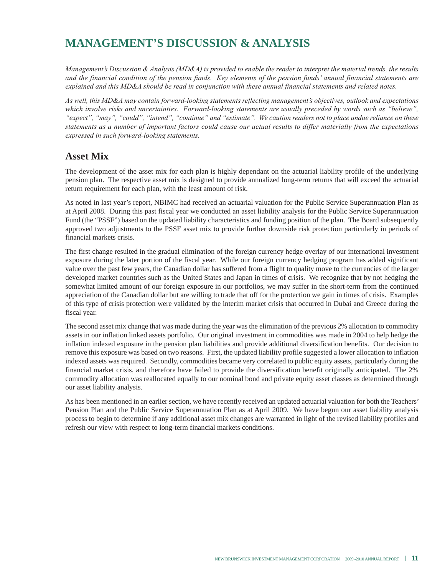# **MANAGEMENT'S DISCUSSION & ANALYSIS**

*Management's Discussion & Analysis (MD&A) is provided to enable the reader to interpret the material trends, the results and the financial condition of the pension funds. Key elements of the pension funds' annual financial statements are explained and this MD&A should be read in conjunction with these annual financial statements and related notes.*

*As well, this MD&A may contain forward-looking statements reflecting management's objectives, outlook and expectations which involve risks and uncertainties. Forward-looking statements are usually preceded by words such as "believe", "expect", "may", "could", "intend", "continue" and "estimate". We caution readers not to place undue reliance on these statements as a number of important factors could cause our actual results to differ materially from the expectations expressed in such forward-looking statements.*

### **Asset Mix**

The development of the asset mix for each plan is highly dependant on the actuarial liability profile of the underlying pension plan. The respective asset mix is designed to provide annualized long-term returns that will exceed the actuarial return requirement for each plan, with the least amount of risk.

As noted in last year's report, NBIMC had received an actuarial valuation for the Public Service Superannuation Plan as at April 2008. During this past fiscal year we conducted an asset liability analysis for the Public Service Superannuation Fund (the "PSSF") based on the updated liability characteristics and funding position of the plan. The Board subsequently approved two adjustments to the PSSF asset mix to provide further downside risk protection particularly in periods of financial markets crisis.

The first change resulted in the gradual elimination of the foreign currency hedge overlay of our international investment exposure during the later portion of the fiscal year. While our foreign currency hedging program has added significant value over the past few years, the Canadian dollar has suffered from a flight to quality move to the currencies of the larger developed market countries such as the United States and Japan in times of crisis. We recognize that by not hedging the somewhat limited amount of our foreign exposure in our portfolios, we may suffer in the short-term from the continued appreciation of the Canadian dollar but are willing to trade that off for the protection we gain in times of crisis. Examples of this type of crisis protection were validated by the interim market crisis that occurred in Dubai and Greece during the fiscal year.

The second asset mix change that was made during the year was the elimination of the previous 2% allocation to commodity assets in our inflation linked assets portfolio. Our original investment in commodities was made in 2004 to help hedge the inflation indexed exposure in the pension plan liabilities and provide additional diversification benefits. Our decision to remove this exposure was based on two reasons. First, the updated liability profile suggested a lower allocation to inflation indexed assets was required. Secondly, commodities became very correlated to public equity assets, particularly during the financial market crisis, and therefore have failed to provide the diversification benefit originally anticipated. The 2% commodity allocation was reallocated equally to our nominal bond and private equity asset classes as determined through our asset liability analysis.

As has been mentioned in an earlier section, we have recently received an updated actuarial valuation for both the Teachers' Pension Plan and the Public Service Superannuation Plan as at April 2009. We have begun our asset liability analysis process to begin to determine if any additional asset mix changes are warranted in light of the revised liability profiles and refresh our view with respect to long-term financial markets conditions.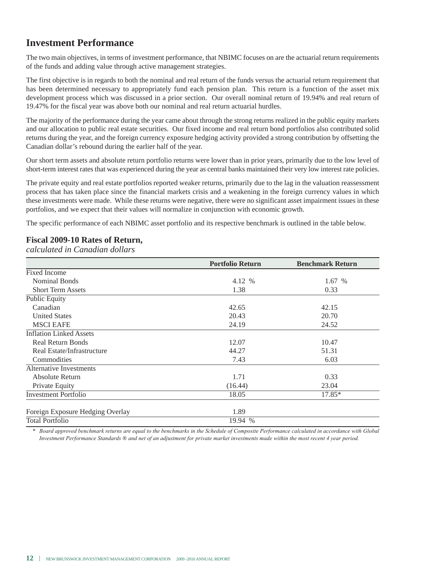## **Investment Performance**

The two main objectives, in terms of investment performance, that NBIMC focuses on are the actuarial return requirements of the funds and adding value through active management strategies.

The first objective is in regards to both the nominal and real return of the funds versus the actuarial return requirement that has been determined necessary to appropriately fund each pension plan. This return is a function of the asset mix development process which was discussed in a prior section. Our overall nominal return of 19.94% and real return of 19.47% for the fiscal year was above both our nominal and real return actuarial hurdles.

The majority of the performance during the year came about through the strong returns realized in the public equity markets and our allocation to public real estate securities. Our fixed income and real return bond portfolios also contributed solid returns during the year, and the foreign currency exposure hedging activity provided a strong contribution by offsetting the Canadian dollar's rebound during the earlier half of the year.

Our short term assets and absolute return portfolio returns were lower than in prior years, primarily due to the low level of short-term interest rates that was experienced during the year as central banks maintained their very low interest rate policies.

The private equity and real estate portfolios reported weaker returns, primarily due to the lag in the valuation reassessment process that has taken place since the financial markets crisis and a weakening in the foreign currency values in which these investments were made. While these returns were negative, there were no significant asset impairment issues in these portfolios, and we expect that their values will normalize in conjunction with economic growth.

The specific performance of each NBIMC asset portfolio and its respective benchmark is outlined in the table below.

#### **Fiscal 2009-10 Rates of Return,**

*calculated in Canadian dollars*

|                                  | <b>Portfolio Return</b> | <b>Benchmark Return</b> |
|----------------------------------|-------------------------|-------------------------|
| Fixed Income                     |                         |                         |
| <b>Nominal Bonds</b>             | 4.12 %                  | 1.67 %                  |
| <b>Short Term Assets</b>         | 1.38                    | 0.33                    |
| <b>Public Equity</b>             |                         |                         |
| Canadian                         | 42.65                   | 42.15                   |
| <b>United States</b>             | 20.43                   | 20.70                   |
| <b>MSCI EAFE</b>                 | 24.19                   | 24.52                   |
| <b>Inflation Linked Assets</b>   |                         |                         |
| <b>Real Return Bonds</b>         | 12.07                   | 10.47                   |
| Real Estate/Infrastructure       | 44.27                   | 51.31                   |
| Commodities                      | 7.43                    | 6.03                    |
| Alternative Investments          |                         |                         |
| Absolute Return                  | 1.71                    | 0.33                    |
| Private Equity                   | (16.44)                 | 23.04                   |
| <b>Investment Portfolio</b>      | 18.05                   | $17.85*$                |
| Foreign Exposure Hedging Overlay | 1.89                    |                         |
| <b>Total Portfolio</b>           | 19.94 %                 |                         |

*\* Board approved benchmark returns are equal to the benchmarks in the Schedule of Composite Performance calculated in accordance with Global Investment Performance Standards ® and net of an adjustment for private market investments made within the most recent 4 year period.*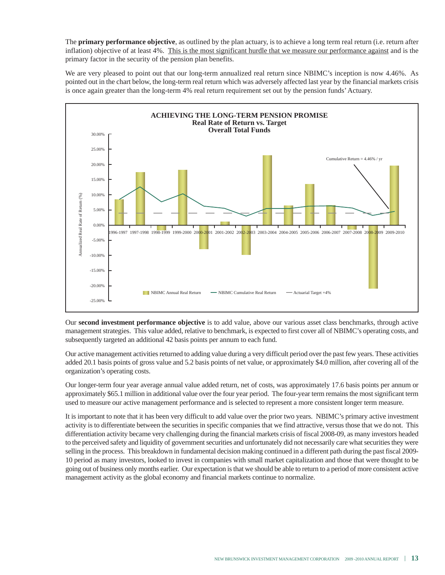The **primary performance objective**, as outlined by the plan actuary, is to achieve a long term real return (i.e. return after inflation) objective of at least 4%. This is the most significant hurdle that we measure our performance against and is the primary factor in the security of the pension plan benefits.

We are very pleased to point out that our long-term annualized real return since NBIMC's inception is now 4.46%. As pointed out in the chart below, the long-term real return which was adversely affected last year by the financial markets crisis is once again greater than the long-term 4% real return requirement set out by the pension funds'Actuary.



Our **second investment performance objective** is to add value, above our various asset class benchmarks, through active management strategies. This value added, relative to benchmark, is expected to first cover all of NBIMC's operating costs, and subsequently targeted an additional 42 basis points per annum to each fund.

Our active management activities returned to adding value during a very difficult period over the past few years. These activities added 20.1 basis points of gross value and 5.2 basis points of net value, or approximately \$4.0 million, after covering all of the organization's operating costs.

Our longer-term four year average annual value added return, net of costs, was approximately 17.6 basis points per annum or approximately \$65.1 million in additional value over the four year period. The four-year term remains the most significant term used to measure our active management performance and is selected to represent a more consistent longer term measure.

It is important to note that it has been very difficult to add value over the prior two years. NBIMC's primary active investment activity is to differentiate between the securities in specific companies that we find attractive, versus those that we do not. This differentiation activity became very challenging during the financial markets crisis of fiscal 2008-09, as many investors headed to the perceived safety and liquidity of government securities and unfortunately did not necessarily care what securities they were selling in the process. This breakdown in fundamental decision making continued in a different path during the past fiscal 2009- 10 period as many investors, looked to invest in companies with small market capitalization and those that were thought to be going out of business only months earlier. Our expectation is that we should be able to return to a period of more consistent active management activity as the global economy and financial markets continue to normalize.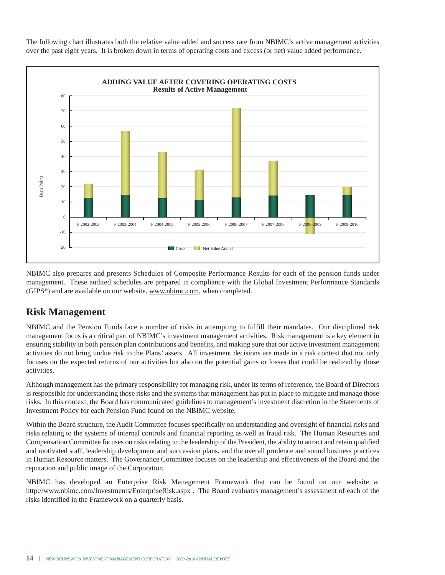The following chart illustrates both the relative value added and success rate from NBIMC's active management activities over the past eight years. It is broken down in terms of operating costs and excess (or net) value added performance.



NBIMC also prepares and presents Schedules of Composite Performance Results for each of the pension funds under management. These audited schedules are prepared in compliance with the Global Investment Performance Standards (GIPS®) and are available on our website, www.nbimc.com, when completed.

### **Risk Management**

NBIMC and the Pension Funds face a number of risks in attempting to fulfill their mandates. Our disciplined risk management focus is a critical part of NBIMC's investment management activities. Risk management is a key element in ensuring stability in both pension plan contributions and benefits, and making sure that our active investment management activities do not bring undue risk to the Plans' assets. All investment decisions are made in a risk context that not only focuses on the expected returns of our activities but also on the potential gains or losses that could be realized by those activities.

Although management has the primary responsibility for managing risk, under its terms of reference, the Board of Directors is responsible for understanding those risks and the systems that management has put in place to mitigate and manage those risks. In this context, the Board has communicated guidelines to management's investment discretion in the Statements of Investment Policy for each Pension Fund found on the NBIMC website.

Within the Board structure, the Audit Committee focuses specifically on understanding and oversight of financial risks and risks relating to the systems of internal controls and financial reporting as well as fraud risk. The Human Resources and Compensation Committee focuses on risks relating to the leadership of the President, the ability to attract and retain qualified and motivated staff, leadership development and succession plans, and the overall prudence and sound business practices in Human Resource matters. The Governance Committee focuses on the leadership and effectiveness of the Board and the reputation and public image of the Corporation.

NBIMC has developed an Enterprise Risk Management Framework that can be found on our website at http://www.nbimc.com/Investments/EnterpriseRisk.aspx . The Board evaluates management's assessment of each of the risks identified in the Framework on a quarterly basis.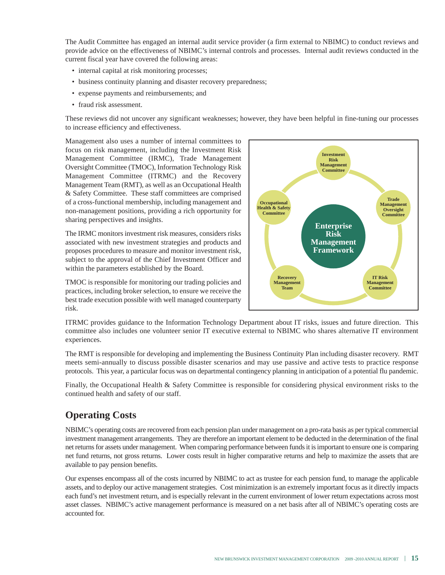The Audit Committee has engaged an internal audit service provider (a firm external to NBIMC) to conduct reviews and provide advice on the effectiveness of NBIMC's internal controls and processes. Internal audit reviews conducted in the current fiscal year have covered the following areas:

- internal capital at risk monitoring processes;
- business continuity planning and disaster recovery preparedness;
- expense payments and reimbursements; and
- fraud risk assessment.

These reviews did not uncover any significant weaknesses; however, they have been helpful in fine-tuning our processes to increase efficiency and effectiveness.

Management also uses a number of internal committees to focus on risk management, including the Investment Risk Management Committee (IRMC), Trade Management Oversight Committee (TMOC), Information Technology Risk Management Committee (ITRMC) and the Recovery Management Team (RMT), as well as an Occupational Health & Safety Committee. These staff committees are comprised of a cross-functional membership, including management and non-management positions, providing a rich opportunity for sharing perspectives and insights.

The IRMC monitors investment risk measures, considers risks associated with new investment strategies and products and proposes procedures to measure and monitor investment risk, subject to the approval of the Chief Investment Officer and within the parameters established by the Board.



TMOC is responsible for monitoring our trading policies and practices, including broker selection, to ensure we receive the best trade execution possible with well managed counterparty risk.

ITRMC provides guidance to the Information Technology Department about IT risks, issues and future direction. This committee also includes one volunteer senior IT executive external to NBIMC who shares alternative IT environment experiences.

The RMT is responsible for developing and implementing the Business Continuity Plan including disaster recovery. RMT meets semi-annually to discuss possible disaster scenarios and may use passive and active tests to practice response protocols. This year, a particular focus was on departmental contingency planning in anticipation of a potential flu pandemic.

Finally, the Occupational Health & Safety Committee is responsible for considering physical environment risks to the continued health and safety of our staff.

## **Operating Costs**

NBIMC's operating costs are recovered from each pension plan under management on a pro-rata basis as per typical commercial investment management arrangements. They are therefore an important element to be deducted in the determination of the final net returns for assets under management. When comparing performance between funds it is important to ensure one is comparing net fund returns, not gross returns. Lower costs result in higher comparative returns and help to maximize the assets that are available to pay pension benefits.

Our expenses encompass all of the costs incurred by NBIMC to act as trustee for each pension fund, to manage the applicable assets, and to deploy our active management strategies. Cost minimization is an extremely important focus as it directly impacts each fund's net investment return, and is especially relevant in the current environment of lower return expectations across most asset classes. NBIMC's active management performance is measured on a net basis after all of NBIMC's operating costs are accounted for.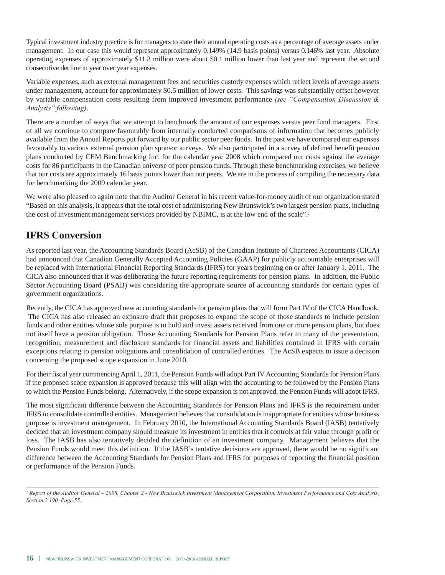Typical investment industry practice is for managers to state their annual operating costs as a percentage of average assets under management. In our case this would represent approximately 0.149% (14.9 basis points) versus 0.146% last year. Absolute operating expenses of approximately \$11.3 million were about \$0.1 million lower than last year and represent the second consecutive decline in year over year expenses.

Variable expenses, such as external management fees and securities custody expenses which reflect levels of average assets under management, account for approximately \$0.5 million of lower costs. This savings was substantially offset however by variable compensation costs resulting from improved investment performance *(see "Compensation Discussion & Analysis" following)*.

There are a number of ways that we attempt to benchmark the amount of our expenses versus peer fund managers. First of all we continue to compare favourably from internally conducted comparisons of information that becomes publicly available from the Annual Reports put forward by our public sector peer funds. In the past we have compared our expenses favourably to various external pension plan sponsor surveys. We also participated in a survey of defined benefit pension plans conducted by CEM Benchmarking Inc. for the calendar year 2008 which compared our costs against the average costs for 86 participants in the Canadian universe of peer pension funds. Through these benchmarking exercises, we believe that our costs are approximately 16 basis points lower than our peers. We are in the process of compiling the necessary data for benchmarking the 2009 calendar year.

We were also pleased to again note that the Auditor General in his recent value-for-money audit of our organization stated "Based on this analysis, it appears that the total cost of administering New Brunswick's two largest pension plans, including the cost of investment management services provided by NBIMC, is at the low end of the scale".1

## **IFRS Conversion**

As reported last year, the Accounting Standards Board (AcSB) of the Canadian Institute of Chartered Accountants (CICA) had announced that Canadian Generally Accepted Accounting Policies (GAAP) for publicly accountable enterprises will be replaced with International Financial Reporting Standards (IFRS) for years beginning on or after January 1, 2011. The CICA also announced that it was deliberating the future reporting requirements for pension plans. In addition, the Public Sector Accounting Board (PSAB) was considering the appropriate source of accounting standards for certain types of government organizations.

Recently, the CICA has approved new accounting standards for pension plans that will form Part IV of the CICA Handbook. The CICA has also released an exposure draft that proposes to expand the scope of those standards to include pension funds and other entities whose sole purpose is to hold and invest assets received from one or more pension plans, but does not itself have a pension obligation. These Accounting Standards for Pension Plans refer to many of the presentation, recognition, measurement and disclosure standards for financial assets and liabilities contained in IFRS with certain exceptions relating to pension obligations and consolidation of controlled entities. The AcSB expects to issue a decision concerning the proposed scope expansion in June 2010.

For their fiscal year commencing April 1, 2011, the Pension Funds will adopt Part IV Accounting Standards for Pension Plans if the proposed scope expansion is approved because this will align with the accounting to be followed by the Pension Plans to which the Pension Funds belong. Alternatively, if the scope expansion is not approved, the Pension Funds will adopt IFRS.

The most significant difference between the Accounting Standards for Pension Plans and IFRS is the requirement under IFRS to consolidate controlled entities. Management believes that consolidation is inappropriate for entities whose business purpose is investment management. In February 2010, the International Accounting Standards Board (IASB) tentatively decided that an investment company should measure its investment in entities that it controls at fair value through profit or loss. The IASB has also tentatively decided the definition of an investment company. Management believes that the Pension Funds would meet this definition. If the IASB's tentative decisions are approved, there would be no significant difference between the Accounting Standards for Pension Plans and IFRS for purposes of reporting the financial position or performance of the Pension Funds.

*<sup>1</sup> Report of the Auditor General – 2008, Chapter 2 - New Brunswick Investment Management Corporation, Investment Performance and Cost Analysis, Section 2.190, Page 55.*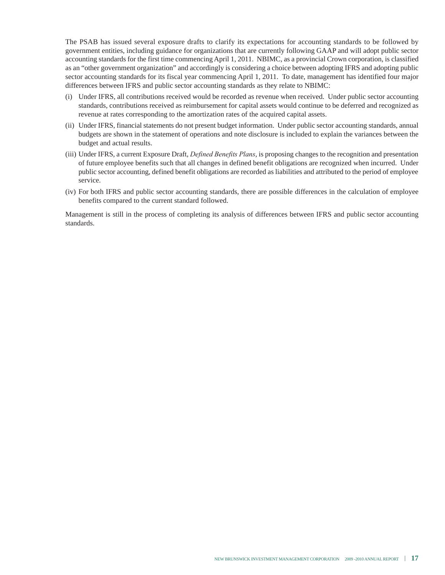The PSAB has issued several exposure drafts to clarify its expectations for accounting standards to be followed by government entities, including guidance for organizations that are currently following GAAP and will adopt public sector accounting standards for the first time commencing April 1, 2011. NBIMC, as a provincial Crown corporation, is classified as an "other government organization" and accordingly is considering a choice between adopting IFRS and adopting public sector accounting standards for its fiscal year commencing April 1, 2011. To date, management has identified four major differences between IFRS and public sector accounting standards as they relate to NBIMC:

- (i) Under IFRS, all contributions received would be recorded as revenue when received. Under public sector accounting standards, contributions received as reimbursement for capital assets would continue to be deferred and recognized as revenue at rates corresponding to the amortization rates of the acquired capital assets.
- (ii) Under IFRS, financial statements do not present budget information. Under public sector accounting standards, annual budgets are shown in the statement of operations and note disclosure is included to explain the variances between the budget and actual results.
- (iii) Under IFRS, a current Exposure Draft, *Defined Benefits Plans*, is proposing changes to the recognition and presentation of future employee benefits such that all changes in defined benefit obligations are recognized when incurred. Under public sector accounting, defined benefit obligations are recorded as liabilities and attributed to the period of employee service.
- (iv) For both IFRS and public sector accounting standards, there are possible differences in the calculation of employee benefits compared to the current standard followed.

Management is still in the process of completing its analysis of differences between IFRS and public sector accounting standards.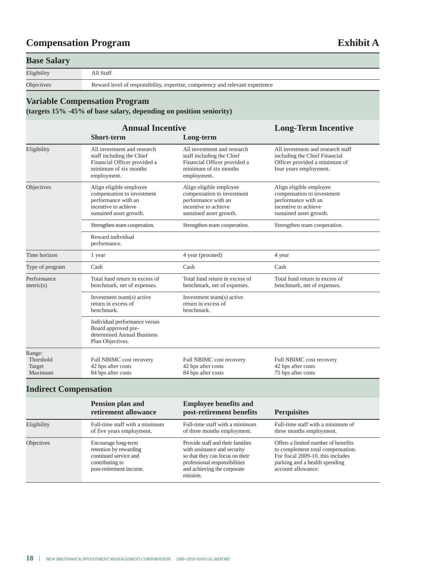# **Compensation Program Exhibit A**

#### **Base Salary**

Eligibility All Staff

Objectives Reward level of responsibility, expertise, competency and relevant experience

#### **Variable Compensation Program**

**(targets 15% -45% of base salary, depending on position seniority)**

|                                          | <b>Annual Incentive</b>                                                                                                          |                                                                                                                                  | <b>Long-Term Incentive</b>                                                                                                      |
|------------------------------------------|----------------------------------------------------------------------------------------------------------------------------------|----------------------------------------------------------------------------------------------------------------------------------|---------------------------------------------------------------------------------------------------------------------------------|
|                                          | <b>Short-term</b>                                                                                                                | Long-term                                                                                                                        |                                                                                                                                 |
| Eligibility                              | All investment and research<br>staff including the Chief<br>Financial Officer provided a<br>minimum of six months<br>employment. | All investment and research<br>staff including the Chief<br>Financial Officer provided a<br>minimum of six months<br>employment. | All investment and research staff<br>including the Chief Financial<br>Officer provided a minimum of<br>four years employment.   |
| Objectives                               | Align eligible employee<br>compensation to investment<br>performance with an<br>incentive to achieve<br>sustained asset growth.  | Align eligible employee<br>compensation to investment<br>performance with an<br>incentive to achieve<br>sustained asset growth.  | Align eligible employee<br>compensation to investment<br>performance with an<br>incentive to achieve<br>sustained asset growth. |
|                                          | Strengthen team cooperation.                                                                                                     | Strengthen team cooperation.                                                                                                     | Strengthen team cooperation.                                                                                                    |
|                                          | Reward individual<br>performance.                                                                                                |                                                                                                                                  |                                                                                                                                 |
| Time horizon                             | 1 year                                                                                                                           | 4 year (prorated)                                                                                                                | 4 year                                                                                                                          |
| Type of program                          | Cash                                                                                                                             | Cash                                                                                                                             | Cash                                                                                                                            |
| Performance<br>metric(s)                 | Total fund return in excess of<br>benchmark, net of expenses.                                                                    | Total fund return in excess of<br>benchmark, net of expenses.                                                                    | Total fund return in excess of<br>benchmark, net of expenses.                                                                   |
|                                          | Investment team(s) active<br>return in excess of<br>benchmark.                                                                   | Investment team(s) active<br>return in excess of<br>benchmark.                                                                   |                                                                                                                                 |
|                                          | Individual performance versus<br>Board approved pre-<br>determined Annual Business<br>Plan Objectives.                           |                                                                                                                                  |                                                                                                                                 |
| Range:<br>Threshold<br>Target<br>Maximum | Full NBIMC cost recovery<br>42 bps after costs<br>84 bps after costs                                                             | Full NBIMC cost recovery<br>42 bps after costs<br>84 bps after costs                                                             | Full NBIMC cost recovery<br>42 bps after costs<br>75 bps after costs                                                            |

## **Indirect Compensation**

|             | <b>Pension plan and</b><br>retirement allowance                                                                      | <b>Employee benefits and</b><br>post-retirement benefits                                                                                                                        | <b>Perquisites</b>                                                                                                                                                   |
|-------------|----------------------------------------------------------------------------------------------------------------------|---------------------------------------------------------------------------------------------------------------------------------------------------------------------------------|----------------------------------------------------------------------------------------------------------------------------------------------------------------------|
| Eligibility | Full-time staff with a minimum<br>of five years employment.                                                          | Full-time staff with a minimum<br>of three months employment.                                                                                                                   | Full-time staff with a minimum of<br>three months employment.                                                                                                        |
| Objectives  | Encourage long-term<br>retention by rewarding<br>continued service and<br>contributing to<br>post-retirement income. | Provide staff and their families<br>with assistance and security<br>so that they can focus on their<br>professional responsibilities<br>and achieving the corporate<br>mission. | Offers a limited number of benefits<br>to complement total compensation.<br>For fiscal 2009-10, this includes<br>parking and a health spending<br>account allowance. |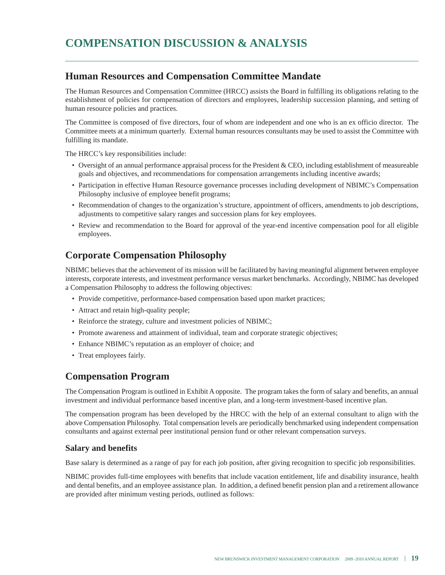#### **Human Resources and Compensation Committee Mandate**

The Human Resources and Compensation Committee (HRCC) assists the Board in fulfilling its obligations relating to the establishment of policies for compensation of directors and employees, leadership succession planning, and setting of human resource policies and practices.

The Committee is composed of five directors, four of whom are independent and one who is an ex officio director. The Committee meets at a minimum quarterly. External human resources consultants may be used to assist the Committee with fulfilling its mandate.

The HRCC's key responsibilities include:

- Oversight of an annual performance appraisal process for the President & CEO, including establishment of measureable goals and objectives, and recommendations for compensation arrangements including incentive awards;
- Participation in effective Human Resource governance processes including development of NBIMC's Compensation Philosophy inclusive of employee benefit programs;
- Recommendation of changes to the organization's structure, appointment of officers, amendments to job descriptions, adjustments to competitive salary ranges and succession plans for key employees.
- Review and recommendation to the Board for approval of the year-end incentive compensation pool for all eligible employees.

## **Corporate Compensation Philosophy**

NBIMC believes that the achievement of its mission will be facilitated by having meaningful alignment between employee interests, corporate interests, and investment performance versus market benchmarks. Accordingly, NBIMC has developed a Compensation Philosophy to address the following objectives:

- Provide competitive, performance-based compensation based upon market practices;
- Attract and retain high-quality people;
- Reinforce the strategy, culture and investment policies of NBIMC;
- Promote awareness and attainment of individual, team and corporate strategic objectives;
- Enhance NBIMC's reputation as an employer of choice; and
- Treat employees fairly.

### **Compensation Program**

The Compensation Program is outlined in Exhibit A opposite. The program takes the form of salary and benefits, an annual investment and individual performance based incentive plan, and a long-term investment-based incentive plan.

The compensation program has been developed by the HRCC with the help of an external consultant to align with the above Compensation Philosophy. Total compensation levels are periodically benchmarked using independent compensation consultants and against external peer institutional pension fund or other relevant compensation surveys.

#### **Salary and benefits**

Base salary is determined as a range of pay for each job position, after giving recognition to specific job responsibilities.

NBIMC provides full-time employees with benefits that include vacation entitlement, life and disability insurance, health and dental benefits, and an employee assistance plan. In addition, a defined benefit pension plan and a retirement allowance are provided after minimum vesting periods, outlined as follows: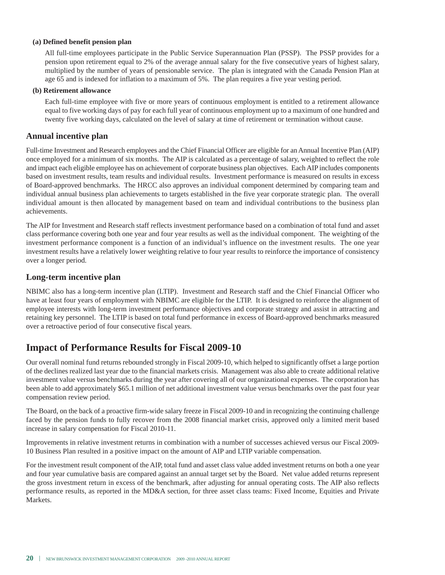#### **(a) Defined benefit pension plan**

All full-time employees participate in the Public Service Superannuation Plan (PSSP). The PSSP provides for a pension upon retirement equal to 2% of the average annual salary for the five consecutive years of highest salary, multiplied by the number of years of pensionable service. The plan is integrated with the Canada Pension Plan at age 65 and is indexed for inflation to a maximum of 5%. The plan requires a five year vesting period.

#### **(b) Retirement allowance**

Each full-time employee with five or more years of continuous employment is entitled to a retirement allowance equal to five working days of pay for each full year of continuous employment up to a maximum of one hundred and twenty five working days, calculated on the level of salary at time of retirement or termination without cause.

#### **Annual incentive plan**

Full-time Investment and Research employees and the Chief Financial Officer are eligible for an Annual Incentive Plan (AIP) once employed for a minimum of six months. The AIP is calculated as a percentage of salary, weighted to reflect the role and impact each eligible employee has on achievement of corporate business plan objectives. Each AIP includes components based on investment results, team results and individual results. Investment performance is measured on results in excess of Board-approved benchmarks. The HRCC also approves an individual component determined by comparing team and individual annual business plan achievements to targets established in the five year corporate strategic plan. The overall individual amount is then allocated by management based on team and individual contributions to the business plan achievements.

The AIP for Investment and Research staff reflects investment performance based on a combination of total fund and asset class performance covering both one year and four year results as well as the individual component. The weighting of the investment performance component is a function of an individual's influence on the investment results. The one year investment results have a relatively lower weighting relative to four year results to reinforce the importance of consistency over a longer period.

#### **Long-term incentive plan**

NBIMC also has a long-term incentive plan (LTIP). Investment and Research staff and the Chief Financial Officer who have at least four years of employment with NBIMC are eligible for the LTIP. It is designed to reinforce the alignment of employee interests with long-term investment performance objectives and corporate strategy and assist in attracting and retaining key personnel. The LTIP is based on total fund performance in excess of Board-approved benchmarks measured over a retroactive period of four consecutive fiscal years.

#### **Impact of Performance Results for Fiscal 2009-10**

Our overall nominal fund returns rebounded strongly in Fiscal 2009-10, which helped to significantly offset a large portion of the declines realized last year due to the financial markets crisis. Management was also able to create additional relative investment value versus benchmarks during the year after covering all of our organizational expenses. The corporation has been able to add approximately \$65.1 million of net additional investment value versus benchmarks over the past four year compensation review period.

The Board, on the back of a proactive firm-wide salary freeze in Fiscal 2009-10 and in recognizing the continuing challenge faced by the pension funds to fully recover from the 2008 financial market crisis, approved only a limited merit based increase in salary compensation for Fiscal 2010-11.

Improvements in relative investment returns in combination with a number of successes achieved versus our Fiscal 2009- 10 Business Plan resulted in a positive impact on the amount of AIP and LTIP variable compensation.

For the investment result component of the AIP, total fund and asset class value added investment returns on both a one year and four year cumulative basis are compared against an annual target set by the Board. Net value added returns represent the gross investment return in excess of the benchmark, after adjusting for annual operating costs. The AIP also reflects performance results, as reported in the MD&A section, for three asset class teams: Fixed Income, Equities and Private Markets.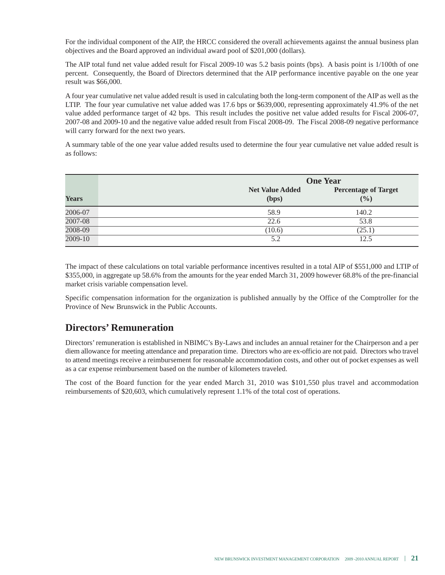For the individual component of the AIP, the HRCC considered the overall achievements against the annual business plan objectives and the Board approved an individual award pool of \$201,000 (dollars).

The AIP total fund net value added result for Fiscal 2009-10 was 5.2 basis points (bps). A basis point is 1/100th of one percent. Consequently, the Board of Directors determined that the AIP performance incentive payable on the one year result was \$66,000.

A four year cumulative net value added result is used in calculating both the long-term component of the AIP as well as the LTIP. The four year cumulative net value added was 17.6 bps or \$639,000, representing approximately 41.9% of the net value added performance target of 42 bps. This result includes the positive net value added results for Fiscal 2006-07, 2007-08 and 2009-10 and the negative value added result from Fiscal 2008-09. The Fiscal 2008-09 negative performance will carry forward for the next two years.

A summary table of the one year value added results used to determine the four year cumulative net value added result is as follows:

|              |                                 | <b>One Year</b>                      |  |  |
|--------------|---------------------------------|--------------------------------------|--|--|
| <b>Years</b> | <b>Net Value Added</b><br>(bps) | <b>Percentage of Target</b><br>(9/0) |  |  |
| 2006-07      | 58.9                            | 140.2                                |  |  |
| 2007-08      | 22.6                            | 53.8                                 |  |  |
| 2008-09      | (10.6)                          | (25.1)                               |  |  |
| $2009 - 10$  | 5.2                             | 12.5                                 |  |  |

The impact of these calculations on total variable performance incentives resulted in a total AIP of \$551,000 and LTIP of \$355,000, in aggregate up 58.6% from the amounts for the year ended March 31, 2009 however 68.8% of the pre-financial market crisis variable compensation level.

Specific compensation information for the organization is published annually by the Office of the Comptroller for the Province of New Brunswick in the Public Accounts.

### **Directors' Remuneration**

Directors' remuneration is established in NBIMC's By-Laws and includes an annual retainer for the Chairperson and a per diem allowance for meeting attendance and preparation time. Directors who are ex-officio are not paid. Directors who travel to attend meetings receive a reimbursement for reasonable accommodation costs, and other out of pocket expenses as well as a car expense reimbursement based on the number of kilometers traveled.

The cost of the Board function for the year ended March 31, 2010 was \$101,550 plus travel and accommodation reimbursements of \$20,603, which cumulatively represent 1.1% of the total cost of operations.